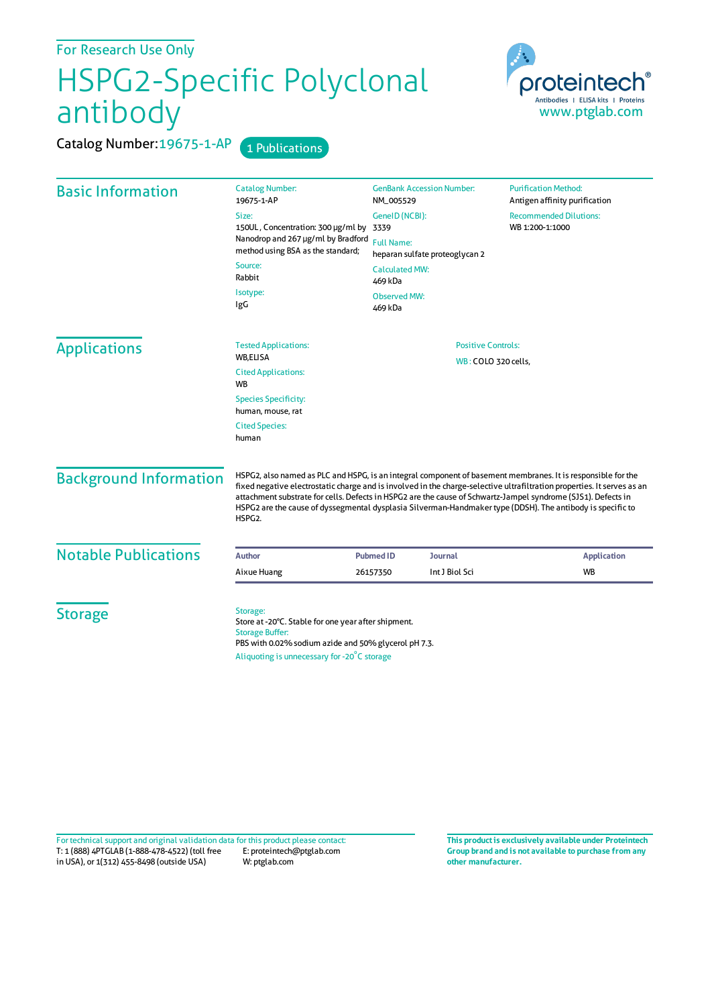For Research Use Only

## HSPG2-Specific Polyclonal antibody

oroteintech Antibodies | ELISA kits | Proteins www.ptglab.com

Catalog Number: 19675-1-AP 1 Publications

| <b>Basic Information</b>      | <b>Catalog Number:</b><br>19675-1-AP                                                                                                                                                                                                                                                                                                                                                                                                                                                          | <b>GenBank Accession Number:</b><br>NM_005529       | <b>Purification Method:</b><br>Antigen affinity purification |  |
|-------------------------------|-----------------------------------------------------------------------------------------------------------------------------------------------------------------------------------------------------------------------------------------------------------------------------------------------------------------------------------------------------------------------------------------------------------------------------------------------------------------------------------------------|-----------------------------------------------------|--------------------------------------------------------------|--|
|                               | Size:                                                                                                                                                                                                                                                                                                                                                                                                                                                                                         | GeneID (NCBI):                                      | <b>Recommended Dilutions:</b>                                |  |
|                               | 150UL, Concentration: 300 µg/ml by 3339<br>Nanodrop and 267 µg/ml by Bradford<br>method using BSA as the standard;                                                                                                                                                                                                                                                                                                                                                                            | <b>Full Name:</b><br>heparan sulfate proteoglycan 2 | WB 1:200-1:1000                                              |  |
|                               | Source:<br>Rabbit                                                                                                                                                                                                                                                                                                                                                                                                                                                                             | <b>Calculated MW:</b><br>469 kDa                    |                                                              |  |
|                               | Isotype:<br>IgG                                                                                                                                                                                                                                                                                                                                                                                                                                                                               | <b>Observed MW:</b><br>469 kDa                      |                                                              |  |
| <b>Applications</b>           | <b>Tested Applications:</b><br>WB,ELISA                                                                                                                                                                                                                                                                                                                                                                                                                                                       | <b>Positive Controls:</b><br>WB: COLO 320 cells,    |                                                              |  |
|                               | <b>Cited Applications:</b><br><b>WB</b>                                                                                                                                                                                                                                                                                                                                                                                                                                                       |                                                     |                                                              |  |
|                               | <b>Species Specificity:</b><br>human, mouse, rat                                                                                                                                                                                                                                                                                                                                                                                                                                              |                                                     |                                                              |  |
|                               | <b>Cited Species:</b><br>human                                                                                                                                                                                                                                                                                                                                                                                                                                                                |                                                     |                                                              |  |
| <b>Background Information</b> | HSPG2, also named as PLC and HSPG, is an integral component of basement membranes. It is responsible for the<br>fixed negative electrostatic charge and is involved in the charge-selective ultrafiltration properties. It serves as an<br>attachment substrate for cells. Defects in HSPG2 are the cause of Schwartz-Jampel syndrome (SJS1). Defects in<br>HSPG2 are the cause of dyssegmental dysplasia Silverman-Handmaker type (DDSH). The antibody is specific to<br>HSPG <sub>2</sub> . |                                                     |                                                              |  |
| <b>Notable Publications</b>   | <b>Author</b>                                                                                                                                                                                                                                                                                                                                                                                                                                                                                 | <b>Pubmed ID</b><br>Journal                         | <b>Application</b>                                           |  |
|                               | Aixue Huang                                                                                                                                                                                                                                                                                                                                                                                                                                                                                   | Int J Biol Sci<br>26157350                          | <b>WB</b>                                                    |  |
| <b>Storage</b>                | Storage:<br>Store at -20°C. Stable for one year after shipment.<br><b>Storage Buffer:</b><br>PBS with 0.02% sodium azide and 50% glycerol pH 7.3.<br>Aliquoting is unnecessary for -20°C storage                                                                                                                                                                                                                                                                                              |                                                     |                                                              |  |

T: 1 (888) 4PTGLAB (1-888-478-4522) (toll free in USA), or 1(312) 455-8498 (outside USA) E: proteintech@ptglab.com W: ptglab.com Fortechnical support and original validation data forthis product please contact: **This productis exclusively available under Proteintech**

**Group brand and is not available to purchase from any other manufacturer.**